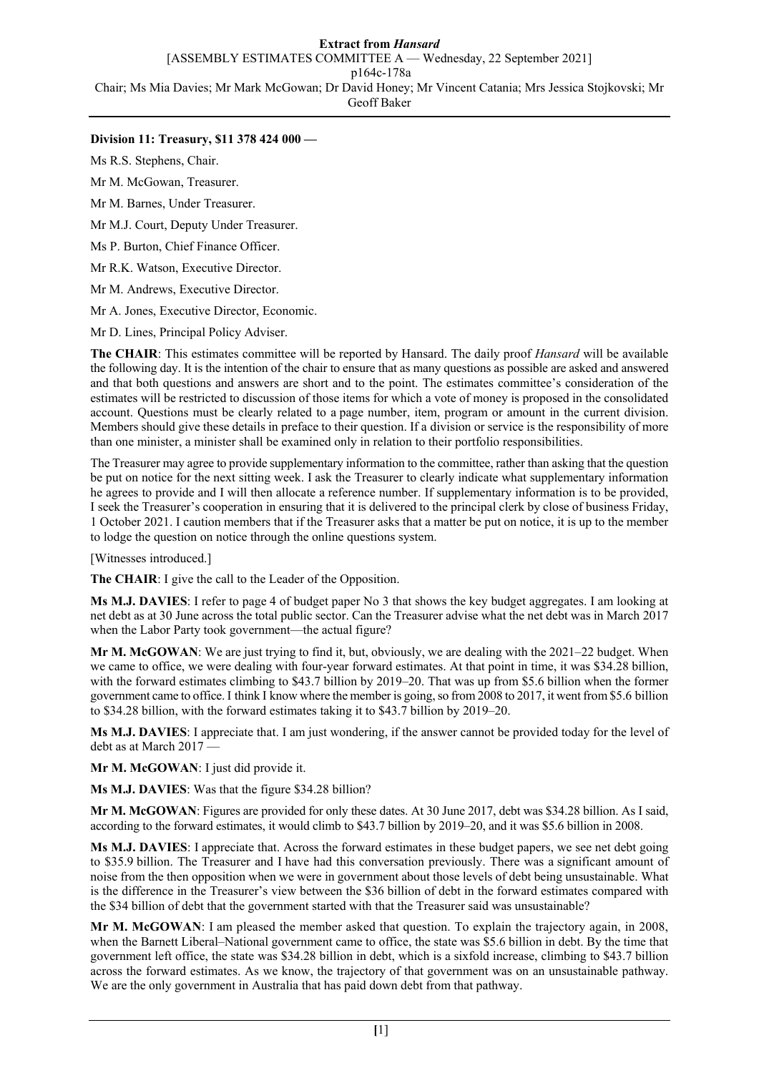## **Extract from** *Hansard*

[ASSEMBLY ESTIMATES COMMITTEE A — Wednesday, 22 September 2021]

p164c-178a

Chair; Ms Mia Davies; Mr Mark McGowan; Dr David Honey; Mr Vincent Catania; Mrs Jessica Stojkovski; Mr

Geoff Baker

# **Division 11: Treasury, \$11 378 424 000 —**

Ms R.S. Stephens, Chair.

Mr M. McGowan, Treasurer.

Mr M. Barnes, Under Treasurer.

Mr M.J. Court, Deputy Under Treasurer.

Ms P. Burton, Chief Finance Officer.

Mr R.K. Watson, Executive Director.

Mr M. Andrews, Executive Director.

Mr A. Jones, Executive Director, Economic.

Mr D. Lines, Principal Policy Adviser.

**The CHAIR**: This estimates committee will be reported by Hansard. The daily proof *Hansard* will be available the following day. It is the intention of the chair to ensure that as many questions as possible are asked and answered and that both questions and answers are short and to the point. The estimates committee's consideration of the estimates will be restricted to discussion of those items for which a vote of money is proposed in the consolidated account. Questions must be clearly related to a page number, item, program or amount in the current division. Members should give these details in preface to their question. If a division or service is the responsibility of more than one minister, a minister shall be examined only in relation to their portfolio responsibilities.

The Treasurer may agree to provide supplementary information to the committee, rather than asking that the question be put on notice for the next sitting week. I ask the Treasurer to clearly indicate what supplementary information he agrees to provide and I will then allocate a reference number. If supplementary information is to be provided, I seek the Treasurer's cooperation in ensuring that it is delivered to the principal clerk by close of business Friday, 1 October 2021. I caution members that if the Treasurer asks that a matter be put on notice, it is up to the member to lodge the question on notice through the online questions system.

[Witnesses introduced.]

**The CHAIR**: I give the call to the Leader of the Opposition.

**Ms M.J. DAVIES**: I refer to page 4 of budget paper No 3 that shows the key budget aggregates. I am looking at net debt as at 30 June across the total public sector. Can the Treasurer advise what the net debt was in March 2017 when the Labor Party took government—the actual figure?

**Mr M. McGOWAN**: We are just trying to find it, but, obviously, we are dealing with the 2021–22 budget. When we came to office, we were dealing with four-year forward estimates. At that point in time, it was \$34.28 billion, with the forward estimates climbing to \$43.7 billion by 2019–20. That was up from \$5.6 billion when the former government came to office. I think I know where the member is going, so from 2008 to 2017, it went from \$5.6 billion to \$34.28 billion, with the forward estimates taking it to \$43.7 billion by 2019–20.

**Ms M.J. DAVIES**: I appreciate that. I am just wondering, if the answer cannot be provided today for the level of debt as at March 2017 —

**Mr M. McGOWAN**: I just did provide it.

**Ms M.J. DAVIES**: Was that the figure \$34.28 billion?

**Mr M. McGOWAN**: Figures are provided for only these dates. At 30 June 2017, debt was \$34.28 billion. As I said, according to the forward estimates, it would climb to \$43.7 billion by 2019–20, and it was \$5.6 billion in 2008.

**Ms M.J. DAVIES**: I appreciate that. Across the forward estimates in these budget papers, we see net debt going to \$35.9 billion. The Treasurer and I have had this conversation previously. There was a significant amount of noise from the then opposition when we were in government about those levels of debt being unsustainable. What is the difference in the Treasurer's view between the \$36 billion of debt in the forward estimates compared with the \$34 billion of debt that the government started with that the Treasurer said was unsustainable?

**Mr M. McGOWAN**: I am pleased the member asked that question. To explain the trajectory again, in 2008, when the Barnett Liberal–National government came to office, the state was \$5.6 billion in debt. By the time that government left office, the state was \$34.28 billion in debt, which is a sixfold increase, climbing to \$43.7 billion across the forward estimates. As we know, the trajectory of that government was on an unsustainable pathway. We are the only government in Australia that has paid down debt from that pathway.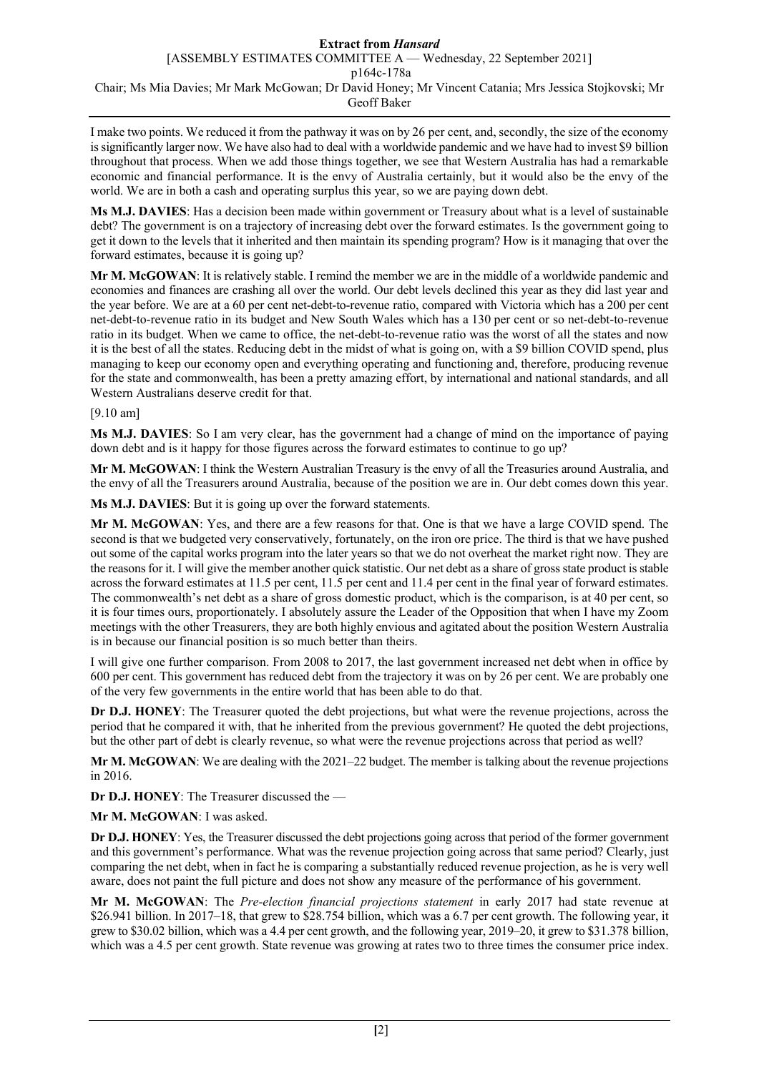I make two points. We reduced it from the pathway it was on by 26 per cent, and, secondly, the size of the economy is significantly larger now. We have also had to deal with a worldwide pandemic and we have had to invest \$9 billion throughout that process. When we add those things together, we see that Western Australia has had a remarkable economic and financial performance. It is the envy of Australia certainly, but it would also be the envy of the world. We are in both a cash and operating surplus this year, so we are paying down debt.

**Ms M.J. DAVIES**: Has a decision been made within government or Treasury about what is a level of sustainable debt? The government is on a trajectory of increasing debt over the forward estimates. Is the government going to get it down to the levels that it inherited and then maintain its spending program? How is it managing that over the forward estimates, because it is going up?

**Mr M. McGOWAN**: It is relatively stable. I remind the member we are in the middle of a worldwide pandemic and economies and finances are crashing all over the world. Our debt levels declined this year as they did last year and the year before. We are at a 60 per cent net-debt-to-revenue ratio, compared with Victoria which has a 200 per cent net-debt-to-revenue ratio in its budget and New South Wales which has a 130 per cent or so net-debt-to-revenue ratio in its budget. When we came to office, the net-debt-to-revenue ratio was the worst of all the states and now it is the best of all the states. Reducing debt in the midst of what is going on, with a \$9 billion COVID spend, plus managing to keep our economy open and everything operating and functioning and, therefore, producing revenue for the state and commonwealth, has been a pretty amazing effort, by international and national standards, and all Western Australians deserve credit for that.

## [9.10 am]

**Ms M.J. DAVIES**: So I am very clear, has the government had a change of mind on the importance of paying down debt and is it happy for those figures across the forward estimates to continue to go up?

**Mr M. McGOWAN**: I think the Western Australian Treasury is the envy of all the Treasuries around Australia, and the envy of all the Treasurers around Australia, because of the position we are in. Our debt comes down this year.

**Ms M.J. DAVIES**: But it is going up over the forward statements.

**Mr M. McGOWAN**: Yes, and there are a few reasons for that. One is that we have a large COVID spend. The second is that we budgeted very conservatively, fortunately, on the iron ore price. The third is that we have pushed out some of the capital works program into the later years so that we do not overheat the market right now. They are the reasons for it. I will give the member another quick statistic. Our net debt as a share of gross state product is stable across the forward estimates at 11.5 per cent, 11.5 per cent and 11.4 per cent in the final year of forward estimates. The commonwealth's net debt as a share of gross domestic product, which is the comparison, is at 40 per cent, so it is four times ours, proportionately. I absolutely assure the Leader of the Opposition that when I have my Zoom meetings with the other Treasurers, they are both highly envious and agitated about the position Western Australia is in because our financial position is so much better than theirs.

I will give one further comparison. From 2008 to 2017, the last government increased net debt when in office by 600 per cent. This government has reduced debt from the trajectory it was on by 26 per cent. We are probably one of the very few governments in the entire world that has been able to do that.

**Dr D.J. HONEY**: The Treasurer quoted the debt projections, but what were the revenue projections, across the period that he compared it with, that he inherited from the previous government? He quoted the debt projections, but the other part of debt is clearly revenue, so what were the revenue projections across that period as well?

**Mr M. McGOWAN**: We are dealing with the 2021–22 budget. The member is talking about the revenue projections in 2016.

**Dr D.J. HONEY**: The Treasurer discussed the —

**Mr M. McGOWAN**: I was asked.

**Dr D.J. HONEY**: Yes, the Treasurer discussed the debt projections going across that period of the former government and this government's performance. What was the revenue projection going across that same period? Clearly, just comparing the net debt, when in fact he is comparing a substantially reduced revenue projection, as he is very well aware, does not paint the full picture and does not show any measure of the performance of his government.

**Mr M. McGOWAN**: The *Pre-election financial projections statement* in early 2017 had state revenue at \$26.941 billion. In 2017–18, that grew to \$28.754 billion, which was a 6.7 per cent growth. The following year, it grew to \$30.02 billion, which was a 4.4 per cent growth, and the following year, 2019–20, it grew to \$31.378 billion, which was a 4.5 per cent growth. State revenue was growing at rates two to three times the consumer price index.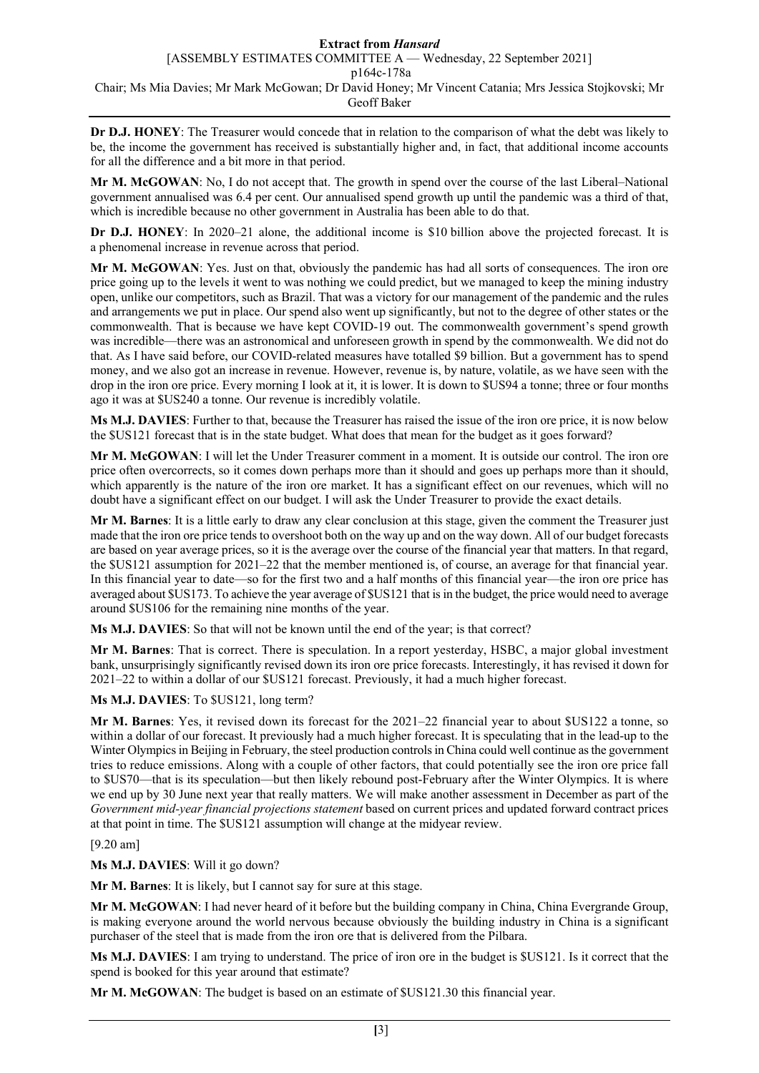**Dr D.J. HONEY**: The Treasurer would concede that in relation to the comparison of what the debt was likely to be, the income the government has received is substantially higher and, in fact, that additional income accounts for all the difference and a bit more in that period.

**Mr M. McGOWAN**: No, I do not accept that. The growth in spend over the course of the last Liberal–National government annualised was 6.4 per cent. Our annualised spend growth up until the pandemic was a third of that, which is incredible because no other government in Australia has been able to do that.

**Dr D.J. HONEY**: In 2020–21 alone, the additional income is \$10 billion above the projected forecast. It is a phenomenal increase in revenue across that period.

**Mr M. McGOWAN**: Yes. Just on that, obviously the pandemic has had all sorts of consequences. The iron ore price going up to the levels it went to was nothing we could predict, but we managed to keep the mining industry open, unlike our competitors, such as Brazil. That was a victory for our management of the pandemic and the rules and arrangements we put in place. Our spend also went up significantly, but not to the degree of other states or the commonwealth. That is because we have kept COVID-19 out. The commonwealth government's spend growth was incredible—there was an astronomical and unforeseen growth in spend by the commonwealth. We did not do that. As I have said before, our COVID-related measures have totalled \$9 billion. But a government has to spend money, and we also got an increase in revenue. However, revenue is, by nature, volatile, as we have seen with the drop in the iron ore price. Every morning I look at it, it is lower. It is down to \$US94 a tonne; three or four months ago it was at \$US240 a tonne. Our revenue is incredibly volatile.

**Ms M.J. DAVIES**: Further to that, because the Treasurer has raised the issue of the iron ore price, it is now below the \$US121 forecast that is in the state budget. What does that mean for the budget as it goes forward?

**Mr M. McGOWAN**: I will let the Under Treasurer comment in a moment. It is outside our control. The iron ore price often overcorrects, so it comes down perhaps more than it should and goes up perhaps more than it should, which apparently is the nature of the iron ore market. It has a significant effect on our revenues, which will no doubt have a significant effect on our budget. I will ask the Under Treasurer to provide the exact details.

**Mr M. Barnes**: It is a little early to draw any clear conclusion at this stage, given the comment the Treasurer just made that the iron ore price tends to overshoot both on the way up and on the way down. All of our budget forecasts are based on year average prices, so it is the average over the course of the financial year that matters. In that regard, the \$US121 assumption for 2021–22 that the member mentioned is, of course, an average for that financial year. In this financial year to date—so for the first two and a half months of this financial year—the iron ore price has averaged about \$US173. To achieve the year average of \$US121 that is in the budget, the price would need to average around \$US106 for the remaining nine months of the year.

**Ms M.J. DAVIES**: So that will not be known until the end of the year; is that correct?

**Mr M. Barnes**: That is correct. There is speculation. In a report yesterday, HSBC, a major global investment bank, unsurprisingly significantly revised down its iron ore price forecasts. Interestingly, it has revised it down for 2021–22 to within a dollar of our \$US121 forecast. Previously, it had a much higher forecast.

### **Ms M.J. DAVIES**: To \$US121, long term?

**Mr M. Barnes**: Yes, it revised down its forecast for the 2021–22 financial year to about \$US122 a tonne, so within a dollar of our forecast. It previously had a much higher forecast. It is speculating that in the lead-up to the Winter Olympics in Beijing in February, the steel production controls in China could well continue as the government tries to reduce emissions. Along with a couple of other factors, that could potentially see the iron ore price fall to \$US70—that is its speculation—but then likely rebound post-February after the Winter Olympics. It is where we end up by 30 June next year that really matters. We will make another assessment in December as part of the *Government mid-year financial projections statement* based on current prices and updated forward contract prices at that point in time. The \$US121 assumption will change at the midyear review.

### [9.20 am]

**Ms M.J. DAVIES**: Will it go down?

**Mr M. Barnes**: It is likely, but I cannot say for sure at this stage.

**Mr M. McGOWAN**: I had never heard of it before but the building company in China, China Evergrande Group, is making everyone around the world nervous because obviously the building industry in China is a significant purchaser of the steel that is made from the iron ore that is delivered from the Pilbara.

**Ms M.J. DAVIES**: I am trying to understand. The price of iron ore in the budget is \$US121. Is it correct that the spend is booked for this year around that estimate?

**Mr M. McGOWAN**: The budget is based on an estimate of \$US121.30 this financial year.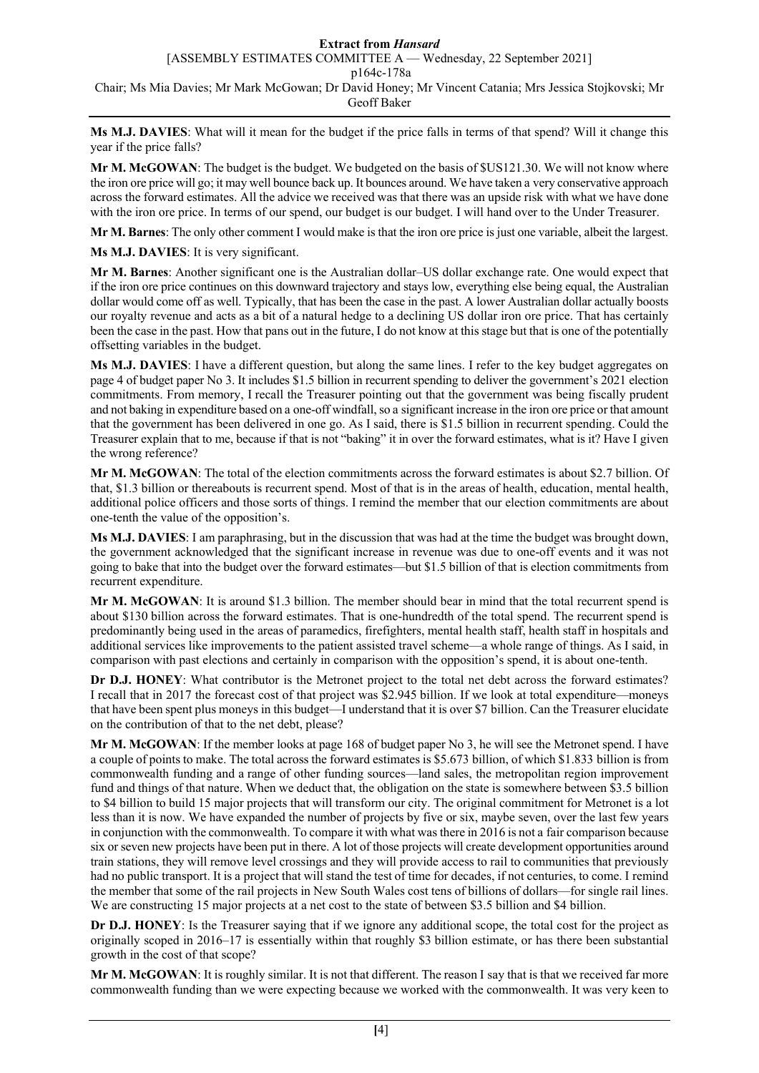**Ms M.J. DAVIES**: What will it mean for the budget if the price falls in terms of that spend? Will it change this year if the price falls?

**Mr M. McGOWAN**: The budget is the budget. We budgeted on the basis of \$US121.30. We will not know where the iron ore price will go; it may well bounce back up. It bounces around. We have taken a very conservative approach across the forward estimates. All the advice we received was that there was an upside risk with what we have done with the iron ore price. In terms of our spend, our budget is our budget. I will hand over to the Under Treasurer.

**Mr M. Barnes**: The only other comment I would make is that the iron ore price is just one variable, albeit the largest.

**Ms M.J. DAVIES**: It is very significant.

**Mr M. Barnes**: Another significant one is the Australian dollar–US dollar exchange rate. One would expect that if the iron ore price continues on this downward trajectory and stays low, everything else being equal, the Australian dollar would come off as well. Typically, that has been the case in the past. A lower Australian dollar actually boosts our royalty revenue and acts as a bit of a natural hedge to a declining US dollar iron ore price. That has certainly been the case in the past. How that pans out in the future, I do not know at this stage but that is one of the potentially offsetting variables in the budget.

**Ms M.J. DAVIES**: I have a different question, but along the same lines. I refer to the key budget aggregates on page 4 of budget paper No 3. It includes \$1.5 billion in recurrent spending to deliver the government's 2021 election commitments. From memory, I recall the Treasurer pointing out that the government was being fiscally prudent and not baking in expenditure based on a one-off windfall, so a significant increase in the iron ore price or that amount that the government has been delivered in one go. As I said, there is \$1.5 billion in recurrent spending. Could the Treasurer explain that to me, because if that is not "baking" it in over the forward estimates, what is it? Have I given the wrong reference?

**Mr M. McGOWAN**: The total of the election commitments across the forward estimates is about \$2.7 billion. Of that, \$1.3 billion or thereabouts is recurrent spend. Most of that is in the areas of health, education, mental health, additional police officers and those sorts of things. I remind the member that our election commitments are about one-tenth the value of the opposition's.

**Ms M.J. DAVIES**: I am paraphrasing, but in the discussion that was had at the time the budget was brought down, the government acknowledged that the significant increase in revenue was due to one-off events and it was not going to bake that into the budget over the forward estimates—but \$1.5 billion of that is election commitments from recurrent expenditure.

**Mr M. McGOWAN**: It is around \$1.3 billion. The member should bear in mind that the total recurrent spend is about \$130 billion across the forward estimates. That is one-hundredth of the total spend. The recurrent spend is predominantly being used in the areas of paramedics, firefighters, mental health staff, health staff in hospitals and additional services like improvements to the patient assisted travel scheme—a whole range of things. As I said, in comparison with past elections and certainly in comparison with the opposition's spend, it is about one-tenth.

**Dr D.J. HONEY**: What contributor is the Metronet project to the total net debt across the forward estimates? I recall that in 2017 the forecast cost of that project was \$2.945 billion. If we look at total expenditure—moneys that have been spent plus moneys in this budget—I understand that it is over \$7 billion. Can the Treasurer elucidate on the contribution of that to the net debt, please?

**Mr M. McGOWAN**: If the member looks at page 168 of budget paper No 3, he will see the Metronet spend. I have a couple of points to make. The total across the forward estimates is \$5.673 billion, of which \$1.833 billion is from commonwealth funding and a range of other funding sources—land sales, the metropolitan region improvement fund and things of that nature. When we deduct that, the obligation on the state is somewhere between \$3.5 billion to \$4 billion to build 15 major projects that will transform our city. The original commitment for Metronet is a lot less than it is now. We have expanded the number of projects by five or six, maybe seven, over the last few years in conjunction with the commonwealth. To compare it with what was there in 2016 is not a fair comparison because six or seven new projects have been put in there. A lot of those projects will create development opportunities around train stations, they will remove level crossings and they will provide access to rail to communities that previously had no public transport. It is a project that will stand the test of time for decades, if not centuries, to come. I remind the member that some of the rail projects in New South Wales cost tens of billions of dollars—for single rail lines. We are constructing 15 major projects at a net cost to the state of between \$3.5 billion and \$4 billion.

**Dr D.J. HONEY**: Is the Treasurer saying that if we ignore any additional scope, the total cost for the project as originally scoped in 2016–17 is essentially within that roughly \$3 billion estimate, or has there been substantial growth in the cost of that scope?

**Mr M. McGOWAN**: It is roughly similar. It is not that different. The reason I say that is that we received far more commonwealth funding than we were expecting because we worked with the commonwealth. It was very keen to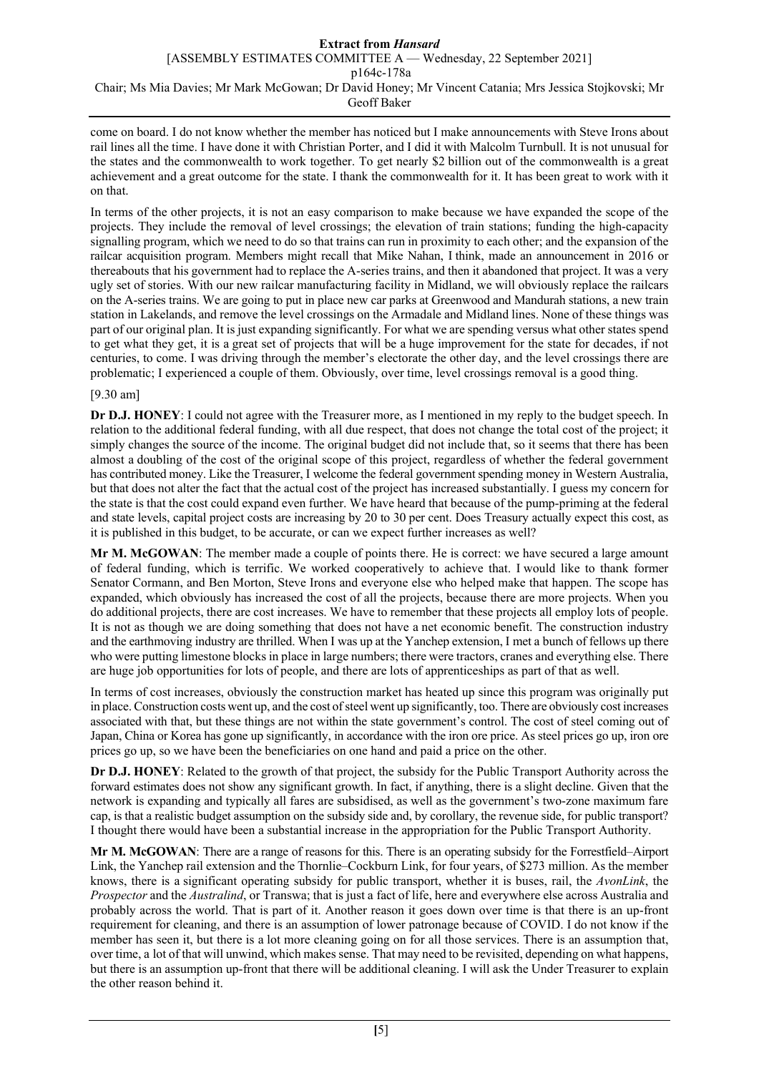come on board. I do not know whether the member has noticed but I make announcements with Steve Irons about rail lines all the time. I have done it with Christian Porter, and I did it with Malcolm Turnbull. It is not unusual for the states and the commonwealth to work together. To get nearly \$2 billion out of the commonwealth is a great achievement and a great outcome for the state. I thank the commonwealth for it. It has been great to work with it on that.

In terms of the other projects, it is not an easy comparison to make because we have expanded the scope of the projects. They include the removal of level crossings; the elevation of train stations; funding the high-capacity signalling program, which we need to do so that trains can run in proximity to each other; and the expansion of the railcar acquisition program. Members might recall that Mike Nahan, I think, made an announcement in 2016 or thereabouts that his government had to replace the A-series trains, and then it abandoned that project. It was a very ugly set of stories. With our new railcar manufacturing facility in Midland, we will obviously replace the railcars on the A-series trains. We are going to put in place new car parks at Greenwood and Mandurah stations, a new train station in Lakelands, and remove the level crossings on the Armadale and Midland lines. None of these things was part of our original plan. It is just expanding significantly. For what we are spending versus what other states spend to get what they get, it is a great set of projects that will be a huge improvement for the state for decades, if not centuries, to come. I was driving through the member's electorate the other day, and the level crossings there are problematic; I experienced a couple of them. Obviously, over time, level crossings removal is a good thing.

## [9.30 am]

**Dr D.J. HONEY**: I could not agree with the Treasurer more, as I mentioned in my reply to the budget speech. In relation to the additional federal funding, with all due respect, that does not change the total cost of the project; it simply changes the source of the income. The original budget did not include that, so it seems that there has been almost a doubling of the cost of the original scope of this project, regardless of whether the federal government has contributed money. Like the Treasurer, I welcome the federal government spending money in Western Australia, but that does not alter the fact that the actual cost of the project has increased substantially. I guess my concern for the state is that the cost could expand even further. We have heard that because of the pump-priming at the federal and state levels, capital project costs are increasing by 20 to 30 per cent. Does Treasury actually expect this cost, as it is published in this budget, to be accurate, or can we expect further increases as well?

**Mr M. McGOWAN**: The member made a couple of points there. He is correct: we have secured a large amount of federal funding, which is terrific. We worked cooperatively to achieve that. I would like to thank former Senator Cormann, and Ben Morton, Steve Irons and everyone else who helped make that happen. The scope has expanded, which obviously has increased the cost of all the projects, because there are more projects. When you do additional projects, there are cost increases. We have to remember that these projects all employ lots of people. It is not as though we are doing something that does not have a net economic benefit. The construction industry and the earthmoving industry are thrilled. When I was up at the Yanchep extension, I met a bunch of fellows up there who were putting limestone blocks in place in large numbers; there were tractors, cranes and everything else. There are huge job opportunities for lots of people, and there are lots of apprenticeships as part of that as well.

In terms of cost increases, obviously the construction market has heated up since this program was originally put in place. Construction costs went up, and the cost of steel went up significantly, too. There are obviously cost increases associated with that, but these things are not within the state government's control. The cost of steel coming out of Japan, China or Korea has gone up significantly, in accordance with the iron ore price. As steel prices go up, iron ore prices go up, so we have been the beneficiaries on one hand and paid a price on the other.

**Dr D.J. HONEY**: Related to the growth of that project, the subsidy for the Public Transport Authority across the forward estimates does not show any significant growth. In fact, if anything, there is a slight decline. Given that the network is expanding and typically all fares are subsidised, as well as the government's two-zone maximum fare cap, is that a realistic budget assumption on the subsidy side and, by corollary, the revenue side, for public transport? I thought there would have been a substantial increase in the appropriation for the Public Transport Authority.

**Mr M. McGOWAN**: There are a range of reasons for this. There is an operating subsidy for the Forrestfield–Airport Link, the Yanchep rail extension and the Thornlie–Cockburn Link, for four years, of \$273 million. As the member knows, there is a significant operating subsidy for public transport, whether it is buses, rail, the *AvonLink*, the *Prospector* and the *Australind*, or Transwa; that is just a fact of life, here and everywhere else across Australia and probably across the world. That is part of it. Another reason it goes down over time is that there is an up-front requirement for cleaning, and there is an assumption of lower patronage because of COVID. I do not know if the member has seen it, but there is a lot more cleaning going on for all those services. There is an assumption that, over time, a lot of that will unwind, which makes sense. That may need to be revisited, depending on what happens, but there is an assumption up-front that there will be additional cleaning. I will ask the Under Treasurer to explain the other reason behind it.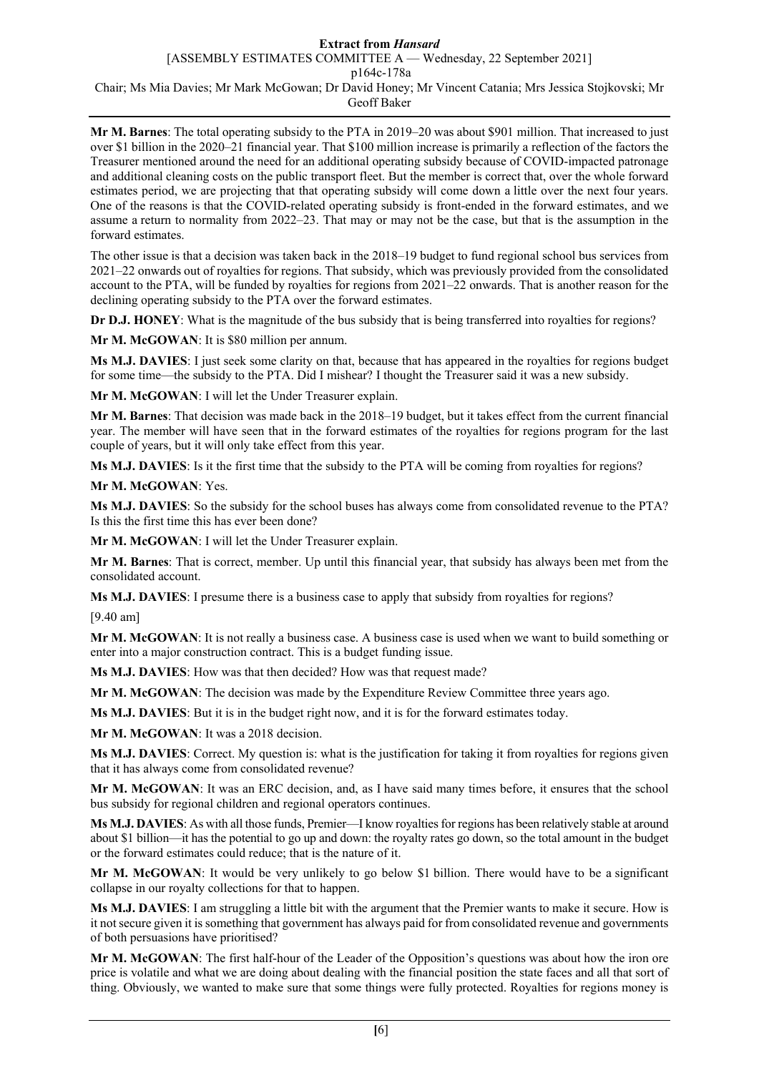#### **Extract from** *Hansard* [ASSEMBLY ESTIMATES COMMITTEE A — Wednesday, 22 September 2021]

p164c-178a

Chair; Ms Mia Davies; Mr Mark McGowan; Dr David Honey; Mr Vincent Catania; Mrs Jessica Stojkovski; Mr Geoff Baker

**Mr M. Barnes**: The total operating subsidy to the PTA in 2019–20 was about \$901 million. That increased to just over \$1 billion in the 2020–21 financial year. That \$100 million increase is primarily a reflection of the factors the Treasurer mentioned around the need for an additional operating subsidy because of COVID-impacted patronage and additional cleaning costs on the public transport fleet. But the member is correct that, over the whole forward estimates period, we are projecting that that operating subsidy will come down a little over the next four years. One of the reasons is that the COVID-related operating subsidy is front-ended in the forward estimates, and we assume a return to normality from 2022–23. That may or may not be the case, but that is the assumption in the forward estimates.

The other issue is that a decision was taken back in the 2018–19 budget to fund regional school bus services from 2021–22 onwards out of royalties for regions. That subsidy, which was previously provided from the consolidated account to the PTA, will be funded by royalties for regions from 2021–22 onwards. That is another reason for the declining operating subsidy to the PTA over the forward estimates.

**Dr D.J. HONEY**: What is the magnitude of the bus subsidy that is being transferred into royalties for regions?

**Mr M. McGOWAN**: It is \$80 million per annum.

**Ms M.J. DAVIES**: I just seek some clarity on that, because that has appeared in the royalties for regions budget for some time—the subsidy to the PTA. Did I mishear? I thought the Treasurer said it was a new subsidy.

**Mr M. McGOWAN**: I will let the Under Treasurer explain.

**Mr M. Barnes**: That decision was made back in the 2018–19 budget, but it takes effect from the current financial year. The member will have seen that in the forward estimates of the royalties for regions program for the last couple of years, but it will only take effect from this year.

**Ms M.J. DAVIES**: Is it the first time that the subsidy to the PTA will be coming from royalties for regions?

**Mr M. McGOWAN**: Yes.

**Ms M.J. DAVIES**: So the subsidy for the school buses has always come from consolidated revenue to the PTA? Is this the first time this has ever been done?

**Mr M. McGOWAN**: I will let the Under Treasurer explain.

**Mr M. Barnes**: That is correct, member. Up until this financial year, that subsidy has always been met from the consolidated account.

**Ms M.J. DAVIES**: I presume there is a business case to apply that subsidy from royalties for regions?

[9.40 am]

**Mr M. McGOWAN**: It is not really a business case. A business case is used when we want to build something or enter into a major construction contract. This is a budget funding issue.

**Ms M.J. DAVIES**: How was that then decided? How was that request made?

**Mr M. McGOWAN**: The decision was made by the Expenditure Review Committee three years ago.

**Ms M.J. DAVIES**: But it is in the budget right now, and it is for the forward estimates today.

**Mr M. McGOWAN**: It was a 2018 decision.

**Ms M.J. DAVIES**: Correct. My question is: what is the justification for taking it from royalties for regions given that it has always come from consolidated revenue?

**Mr M. McGOWAN**: It was an ERC decision, and, as I have said many times before, it ensures that the school bus subsidy for regional children and regional operators continues.

**Ms M.J. DAVIES**: As with all those funds, Premier—I know royalties for regions has been relatively stable at around about \$1 billion—it has the potential to go up and down: the royalty rates go down, so the total amount in the budget or the forward estimates could reduce; that is the nature of it.

**Mr M. McGOWAN**: It would be very unlikely to go below \$1 billion. There would have to be a significant collapse in our royalty collections for that to happen.

**Ms M.J. DAVIES**: I am struggling a little bit with the argument that the Premier wants to make it secure. How is it not secure given it is something that government has always paid for from consolidated revenue and governments of both persuasions have prioritised?

**Mr M. McGOWAN**: The first half-hour of the Leader of the Opposition's questions was about how the iron ore price is volatile and what we are doing about dealing with the financial position the state faces and all that sort of thing. Obviously, we wanted to make sure that some things were fully protected. Royalties for regions money is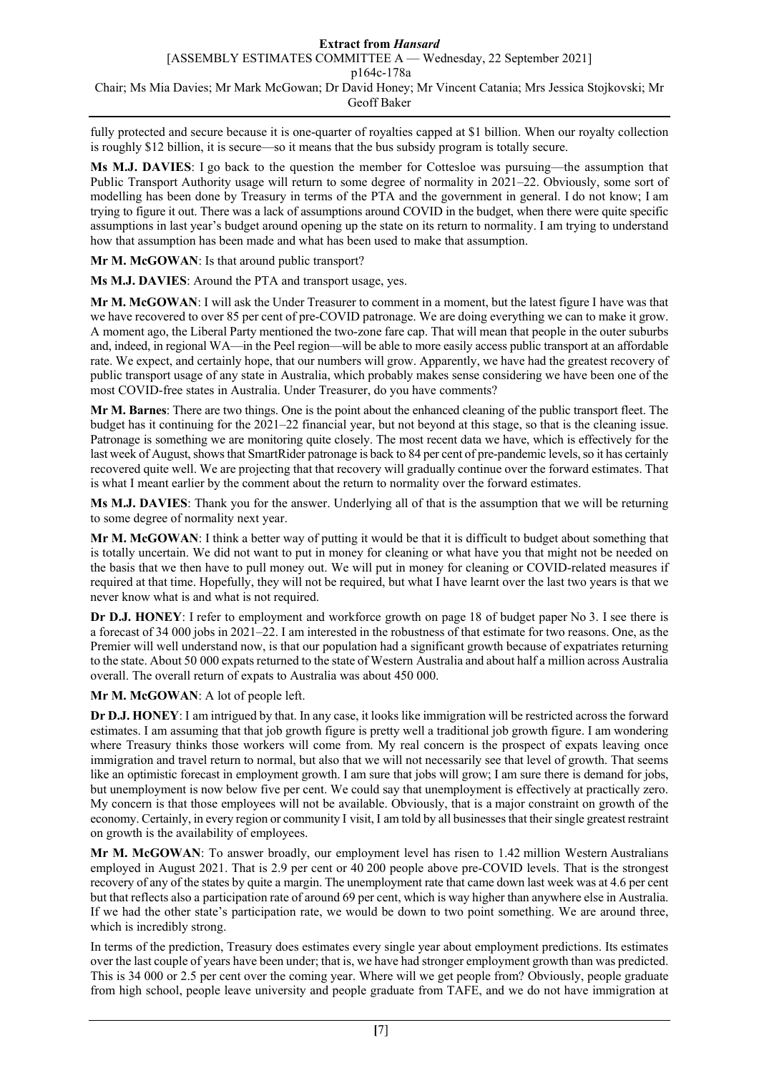fully protected and secure because it is one-quarter of royalties capped at \$1 billion. When our royalty collection is roughly \$12 billion, it is secure—so it means that the bus subsidy program is totally secure.

**Ms M.J. DAVIES**: I go back to the question the member for Cottesloe was pursuing—the assumption that Public Transport Authority usage will return to some degree of normality in 2021–22. Obviously, some sort of modelling has been done by Treasury in terms of the PTA and the government in general. I do not know; I am trying to figure it out. There was a lack of assumptions around COVID in the budget, when there were quite specific assumptions in last year's budget around opening up the state on its return to normality. I am trying to understand how that assumption has been made and what has been used to make that assumption.

**Mr M. McGOWAN**: Is that around public transport?

**Ms M.J. DAVIES**: Around the PTA and transport usage, yes.

**Mr M. McGOWAN**: I will ask the Under Treasurer to comment in a moment, but the latest figure I have was that we have recovered to over 85 per cent of pre-COVID patronage. We are doing everything we can to make it grow. A moment ago, the Liberal Party mentioned the two-zone fare cap. That will mean that people in the outer suburbs and, indeed, in regional WA—in the Peel region—will be able to more easily access public transport at an affordable rate. We expect, and certainly hope, that our numbers will grow. Apparently, we have had the greatest recovery of public transport usage of any state in Australia, which probably makes sense considering we have been one of the most COVID-free states in Australia. Under Treasurer, do you have comments?

**Mr M. Barnes**: There are two things. One is the point about the enhanced cleaning of the public transport fleet. The budget has it continuing for the 2021–22 financial year, but not beyond at this stage, so that is the cleaning issue. Patronage is something we are monitoring quite closely. The most recent data we have, which is effectively for the last week of August, shows that SmartRider patronage is back to 84 per cent of pre-pandemic levels, so it has certainly recovered quite well. We are projecting that that recovery will gradually continue over the forward estimates. That is what I meant earlier by the comment about the return to normality over the forward estimates.

**Ms M.J. DAVIES**: Thank you for the answer. Underlying all of that is the assumption that we will be returning to some degree of normality next year.

**Mr M. McGOWAN**: I think a better way of putting it would be that it is difficult to budget about something that is totally uncertain. We did not want to put in money for cleaning or what have you that might not be needed on the basis that we then have to pull money out. We will put in money for cleaning or COVID-related measures if required at that time. Hopefully, they will not be required, but what I have learnt over the last two years is that we never know what is and what is not required.

**Dr D.J. HONEY**: I refer to employment and workforce growth on page 18 of budget paper No 3. I see there is a forecast of 34 000 jobs in 2021–22. I am interested in the robustness of that estimate for two reasons. One, as the Premier will well understand now, is that our population had a significant growth because of expatriates returning to the state. About 50 000 expats returned to the state of Western Australia and about half a million across Australia overall. The overall return of expats to Australia was about 450 000.

**Mr M. McGOWAN**: A lot of people left.

**Dr D.J. HONEY**: I am intrigued by that. In any case, it looks like immigration will be restricted across the forward estimates. I am assuming that that job growth figure is pretty well a traditional job growth figure. I am wondering where Treasury thinks those workers will come from. My real concern is the prospect of expats leaving once immigration and travel return to normal, but also that we will not necessarily see that level of growth. That seems like an optimistic forecast in employment growth. I am sure that jobs will grow; I am sure there is demand for jobs, but unemployment is now below five per cent. We could say that unemployment is effectively at practically zero. My concern is that those employees will not be available. Obviously, that is a major constraint on growth of the economy. Certainly, in every region or community I visit, I am told by all businesses that their single greatest restraint on growth is the availability of employees.

**Mr M. McGOWAN**: To answer broadly, our employment level has risen to 1.42 million Western Australians employed in August 2021. That is 2.9 per cent or 40 200 people above pre-COVID levels. That is the strongest recovery of any of the states by quite a margin. The unemployment rate that came down last week was at 4.6 per cent but that reflects also a participation rate of around 69 per cent, which is way higher than anywhere else in Australia. If we had the other state's participation rate, we would be down to two point something. We are around three, which is incredibly strong.

In terms of the prediction, Treasury does estimates every single year about employment predictions. Its estimates over the last couple of years have been under; that is, we have had stronger employment growth than was predicted. This is 34 000 or 2.5 per cent over the coming year. Where will we get people from? Obviously, people graduate from high school, people leave university and people graduate from TAFE, and we do not have immigration at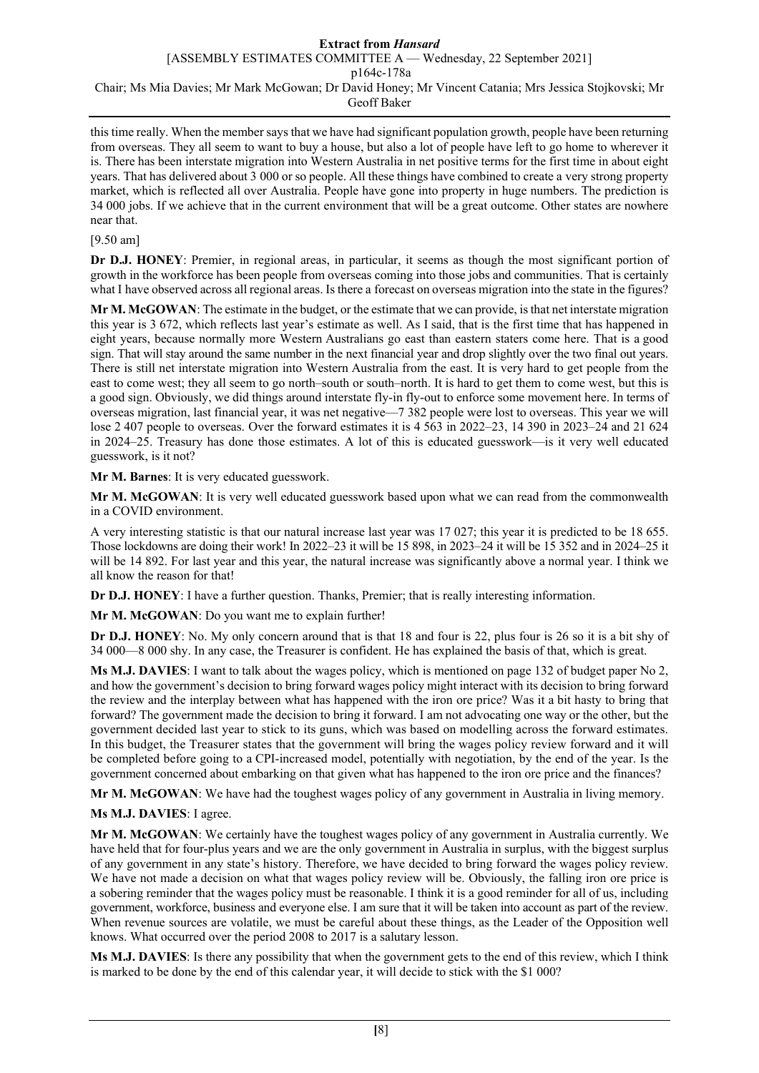# **Extract from** *Hansard*

[ASSEMBLY ESTIMATES COMMITTEE A — Wednesday, 22 September 2021]

p164c-178a

Chair; Ms Mia Davies; Mr Mark McGowan; Dr David Honey; Mr Vincent Catania; Mrs Jessica Stojkovski; Mr

Geoff Baker

this time really. When the member says that we have had significant population growth, people have been returning from overseas. They all seem to want to buy a house, but also a lot of people have left to go home to wherever it is. There has been interstate migration into Western Australia in net positive terms for the first time in about eight years. That has delivered about 3 000 or so people. All these things have combined to create a very strong property market, which is reflected all over Australia. People have gone into property in huge numbers. The prediction is 34 000 jobs. If we achieve that in the current environment that will be a great outcome. Other states are nowhere near that.

# [9.50 am]

**Dr D.J. HONEY**: Premier, in regional areas, in particular, it seems as though the most significant portion of growth in the workforce has been people from overseas coming into those jobs and communities. That is certainly what I have observed across all regional areas. Is there a forecast on overseas migration into the state in the figures?

**Mr M. McGOWAN**: The estimate in the budget, or the estimate that we can provide, is that net interstate migration this year is 3 672, which reflects last year's estimate as well. As I said, that is the first time that has happened in eight years, because normally more Western Australians go east than eastern staters come here. That is a good sign. That will stay around the same number in the next financial year and drop slightly over the two final out years. There is still net interstate migration into Western Australia from the east. It is very hard to get people from the east to come west; they all seem to go north–south or south–north. It is hard to get them to come west, but this is a good sign. Obviously, we did things around interstate fly-in fly-out to enforce some movement here. In terms of overseas migration, last financial year, it was net negative—7 382 people were lost to overseas. This year we will lose 2 407 people to overseas. Over the forward estimates it is 4 563 in 2022–23, 14 390 in 2023–24 and 21 624 in 2024–25. Treasury has done those estimates. A lot of this is educated guesswork—is it very well educated guesswork, is it not?

**Mr M. Barnes**: It is very educated guesswork.

**Mr M. McGOWAN**: It is very well educated guesswork based upon what we can read from the commonwealth in a COVID environment.

A very interesting statistic is that our natural increase last year was 17 027; this year it is predicted to be 18 655. Those lockdowns are doing their work! In 2022–23 it will be 15 898, in 2023–24 it will be 15 352 and in 2024–25 it will be 14 892. For last year and this year, the natural increase was significantly above a normal year. I think we all know the reason for that!

**Dr D.J. HONEY**: I have a further question. Thanks, Premier; that is really interesting information.

**Mr M. McGOWAN**: Do you want me to explain further!

**Dr D.J. HONEY**: No. My only concern around that is that 18 and four is 22, plus four is 26 so it is a bit shy of 34 000—8 000 shy. In any case, the Treasurer is confident. He has explained the basis of that, which is great.

**Ms M.J. DAVIES**: I want to talk about the wages policy, which is mentioned on page 132 of budget paper No 2, and how the government's decision to bring forward wages policy might interact with its decision to bring forward the review and the interplay between what has happened with the iron ore price? Was it a bit hasty to bring that forward? The government made the decision to bring it forward. I am not advocating one way or the other, but the government decided last year to stick to its guns, which was based on modelling across the forward estimates. In this budget, the Treasurer states that the government will bring the wages policy review forward and it will be completed before going to a CPI-increased model, potentially with negotiation, by the end of the year. Is the government concerned about embarking on that given what has happened to the iron ore price and the finances?

**Mr M. McGOWAN**: We have had the toughest wages policy of any government in Australia in living memory.

# **Ms M.J. DAVIES**: I agree.

**Mr M. McGOWAN**: We certainly have the toughest wages policy of any government in Australia currently. We have held that for four-plus years and we are the only government in Australia in surplus, with the biggest surplus of any government in any state's history. Therefore, we have decided to bring forward the wages policy review. We have not made a decision on what that wages policy review will be. Obviously, the falling iron ore price is a sobering reminder that the wages policy must be reasonable. I think it is a good reminder for all of us, including government, workforce, business and everyone else. I am sure that it will be taken into account as part of the review. When revenue sources are volatile, we must be careful about these things, as the Leader of the Opposition well knows. What occurred over the period 2008 to 2017 is a salutary lesson.

**Ms M.J. DAVIES**: Is there any possibility that when the government gets to the end of this review, which I think is marked to be done by the end of this calendar year, it will decide to stick with the \$1 000?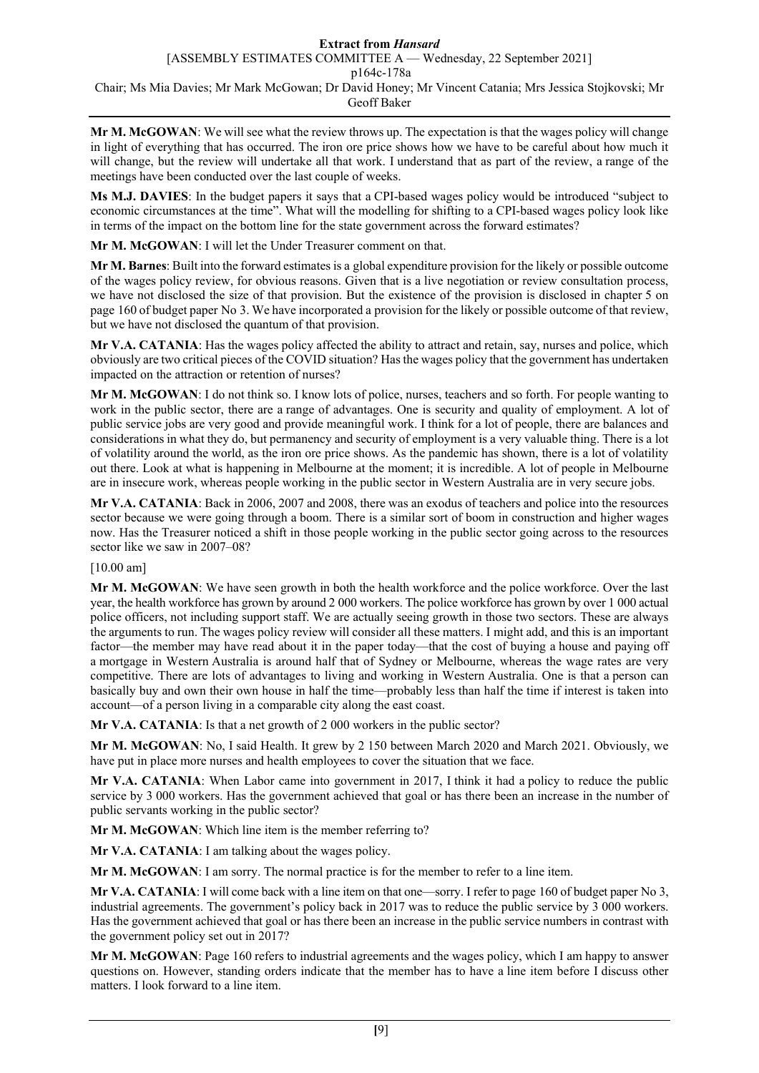**Mr M. McGOWAN**: We will see what the review throws up. The expectation is that the wages policy will change in light of everything that has occurred. The iron ore price shows how we have to be careful about how much it will change, but the review will undertake all that work. I understand that as part of the review, a range of the meetings have been conducted over the last couple of weeks.

**Ms M.J. DAVIES**: In the budget papers it says that a CPI-based wages policy would be introduced "subject to economic circumstances at the time". What will the modelling for shifting to a CPI-based wages policy look like in terms of the impact on the bottom line for the state government across the forward estimates?

**Mr M. McGOWAN**: I will let the Under Treasurer comment on that.

**Mr M. Barnes**: Built into the forward estimates is a global expenditure provision for the likely or possible outcome of the wages policy review, for obvious reasons. Given that is a live negotiation or review consultation process, we have not disclosed the size of that provision. But the existence of the provision is disclosed in chapter 5 on page 160 of budget paper No 3. We have incorporated a provision for the likely or possible outcome of that review, but we have not disclosed the quantum of that provision.

**Mr V.A. CATANIA**: Has the wages policy affected the ability to attract and retain, say, nurses and police, which obviously are two critical pieces of the COVID situation? Has the wages policy that the government has undertaken impacted on the attraction or retention of nurses?

**Mr M. McGOWAN**: I do not think so. I know lots of police, nurses, teachers and so forth. For people wanting to work in the public sector, there are a range of advantages. One is security and quality of employment. A lot of public service jobs are very good and provide meaningful work. I think for a lot of people, there are balances and considerations in what they do, but permanency and security of employment is a very valuable thing. There is a lot of volatility around the world, as the iron ore price shows. As the pandemic has shown, there is a lot of volatility out there. Look at what is happening in Melbourne at the moment; it is incredible. A lot of people in Melbourne are in insecure work, whereas people working in the public sector in Western Australia are in very secure jobs.

**Mr V.A. CATANIA**: Back in 2006, 2007 and 2008, there was an exodus of teachers and police into the resources sector because we were going through a boom. There is a similar sort of boom in construction and higher wages now. Has the Treasurer noticed a shift in those people working in the public sector going across to the resources sector like we saw in 2007–08?

[10.00 am]

**Mr M. McGOWAN**: We have seen growth in both the health workforce and the police workforce. Over the last year, the health workforce has grown by around 2 000 workers. The police workforce has grown by over 1 000 actual police officers, not including support staff. We are actually seeing growth in those two sectors. These are always the arguments to run. The wages policy review will consider all these matters. I might add, and this is an important factor—the member may have read about it in the paper today—that the cost of buying a house and paying off a mortgage in Western Australia is around half that of Sydney or Melbourne, whereas the wage rates are very competitive. There are lots of advantages to living and working in Western Australia. One is that a person can basically buy and own their own house in half the time—probably less than half the time if interest is taken into account—of a person living in a comparable city along the east coast.

**Mr V.A. CATANIA**: Is that a net growth of 2 000 workers in the public sector?

**Mr M. McGOWAN**: No, I said Health. It grew by 2 150 between March 2020 and March 2021. Obviously, we have put in place more nurses and health employees to cover the situation that we face.

**Mr V.A. CATANIA**: When Labor came into government in 2017, I think it had a policy to reduce the public service by 3 000 workers. Has the government achieved that goal or has there been an increase in the number of public servants working in the public sector?

**Mr M. McGOWAN**: Which line item is the member referring to?

**Mr V.A. CATANIA**: I am talking about the wages policy.

**Mr M. McGOWAN**: I am sorry. The normal practice is for the member to refer to a line item.

**Mr V.A. CATANIA**: I will come back with a line item on that one—sorry. I refer to page 160 of budget paper No 3, industrial agreements. The government's policy back in 2017 was to reduce the public service by 3 000 workers. Has the government achieved that goal or has there been an increase in the public service numbers in contrast with the government policy set out in 2017?

**Mr M. McGOWAN**: Page 160 refers to industrial agreements and the wages policy, which I am happy to answer questions on. However, standing orders indicate that the member has to have a line item before I discuss other matters. I look forward to a line item.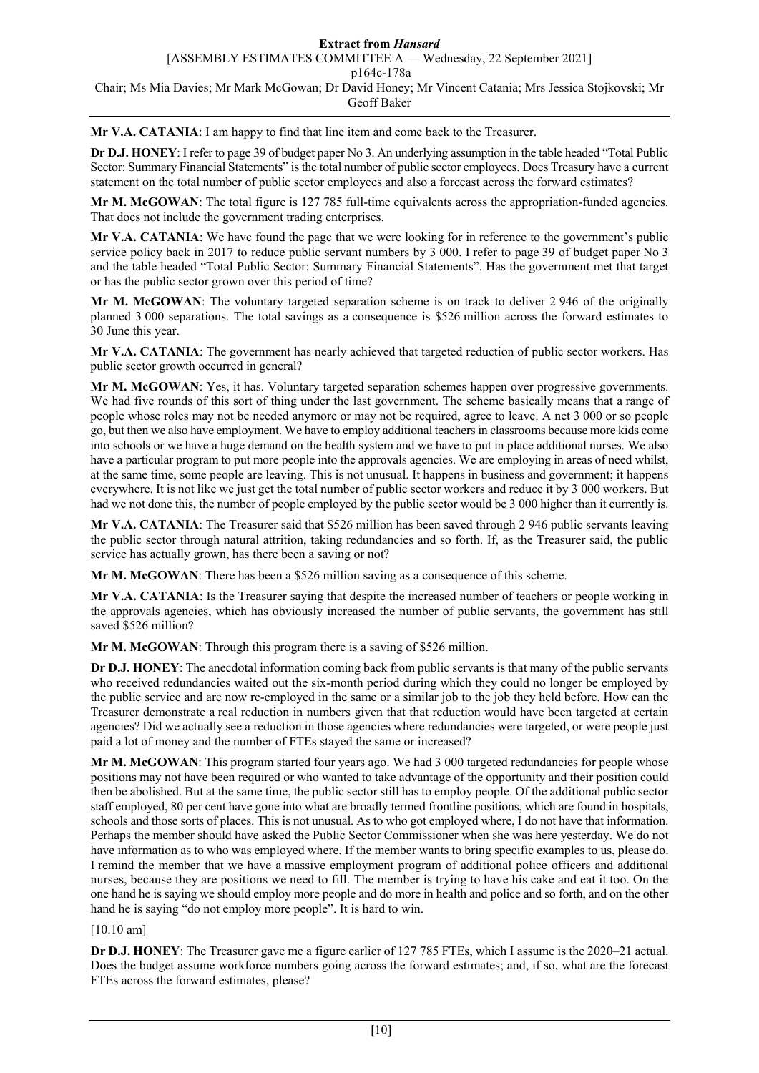**Mr V.A. CATANIA**: I am happy to find that line item and come back to the Treasurer.

**Dr D.J. HONEY**: I refer to page 39 of budget paper No 3. An underlying assumption in the table headed "Total Public Sector: Summary Financial Statements" is the total number of public sector employees. Does Treasury have a current statement on the total number of public sector employees and also a forecast across the forward estimates?

**Mr M. McGOWAN**: The total figure is 127 785 full-time equivalents across the appropriation-funded agencies. That does not include the government trading enterprises.

**Mr V.A. CATANIA**: We have found the page that we were looking for in reference to the government's public service policy back in 2017 to reduce public servant numbers by 3 000. I refer to page 39 of budget paper No 3 and the table headed "Total Public Sector: Summary Financial Statements". Has the government met that target or has the public sector grown over this period of time?

**Mr M. McGOWAN**: The voluntary targeted separation scheme is on track to deliver 2 946 of the originally planned 3 000 separations. The total savings as a consequence is \$526 million across the forward estimates to 30 June this year.

**Mr V.A. CATANIA**: The government has nearly achieved that targeted reduction of public sector workers. Has public sector growth occurred in general?

**Mr M. McGOWAN**: Yes, it has. Voluntary targeted separation schemes happen over progressive governments. We had five rounds of this sort of thing under the last government. The scheme basically means that a range of people whose roles may not be needed anymore or may not be required, agree to leave. A net 3 000 or so people go, but then we also have employment. We have to employ additional teachers in classrooms because more kids come into schools or we have a huge demand on the health system and we have to put in place additional nurses. We also have a particular program to put more people into the approvals agencies. We are employing in areas of need whilst, at the same time, some people are leaving. This is not unusual. It happens in business and government; it happens everywhere. It is not like we just get the total number of public sector workers and reduce it by 3 000 workers. But had we not done this, the number of people employed by the public sector would be 3 000 higher than it currently is.

**Mr V.A. CATANIA**: The Treasurer said that \$526 million has been saved through 2 946 public servants leaving the public sector through natural attrition, taking redundancies and so forth. If, as the Treasurer said, the public service has actually grown, has there been a saving or not?

**Mr M. McGOWAN**: There has been a \$526 million saving as a consequence of this scheme.

**Mr V.A. CATANIA**: Is the Treasurer saying that despite the increased number of teachers or people working in the approvals agencies, which has obviously increased the number of public servants, the government has still saved \$526 million?

**Mr M. McGOWAN**: Through this program there is a saving of \$526 million.

**Dr D.J. HONEY**: The anecdotal information coming back from public servants is that many of the public servants who received redundancies waited out the six-month period during which they could no longer be employed by the public service and are now re-employed in the same or a similar job to the job they held before. How can the Treasurer demonstrate a real reduction in numbers given that that reduction would have been targeted at certain agencies? Did we actually see a reduction in those agencies where redundancies were targeted, or were people just paid a lot of money and the number of FTEs stayed the same or increased?

Mr M. McGOWAN: This program started four years ago. We had 3 000 targeted redundancies for people whose positions may not have been required or who wanted to take advantage of the opportunity and their position could then be abolished. But at the same time, the public sector still has to employ people. Of the additional public sector staff employed, 80 per cent have gone into what are broadly termed frontline positions, which are found in hospitals, schools and those sorts of places. This is not unusual. As to who got employed where, I do not have that information. Perhaps the member should have asked the Public Sector Commissioner when she was here yesterday. We do not have information as to who was employed where. If the member wants to bring specific examples to us, please do. I remind the member that we have a massive employment program of additional police officers and additional nurses, because they are positions we need to fill. The member is trying to have his cake and eat it too. On the one hand he is saying we should employ more people and do more in health and police and so forth, and on the other hand he is saying "do not employ more people". It is hard to win.

### [10.10 am]

**Dr D.J. HONEY**: The Treasurer gave me a figure earlier of 127 785 FTEs, which I assume is the 2020–21 actual. Does the budget assume workforce numbers going across the forward estimates; and, if so, what are the forecast FTEs across the forward estimates, please?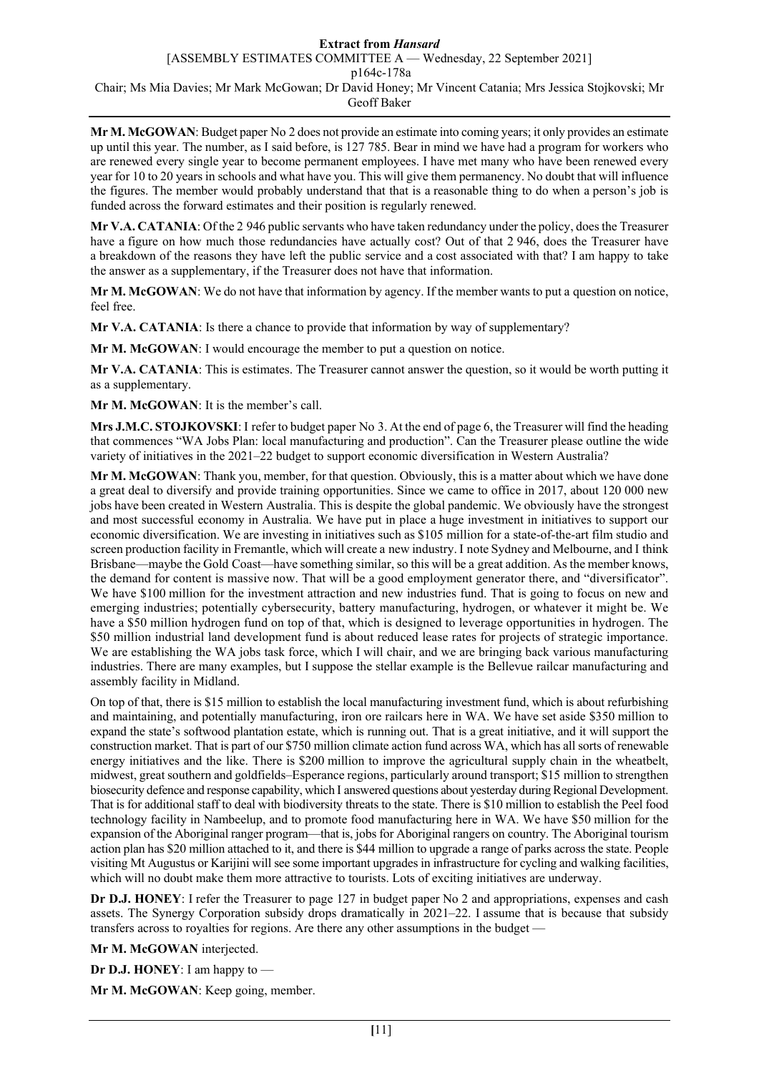#### **Extract from** *Hansard* [ASSEMBLY ESTIMATES COMMITTEE A — Wednesday, 22 September 2021] p164c-178a

Chair; Ms Mia Davies; Mr Mark McGowan; Dr David Honey; Mr Vincent Catania; Mrs Jessica Stojkovski; Mr Geoff Baker

**Mr M. McGOWAN**: Budget paper No 2 does not provide an estimate into coming years; it only provides an estimate up until this year. The number, as I said before, is 127 785. Bear in mind we have had a program for workers who are renewed every single year to become permanent employees. I have met many who have been renewed every year for 10 to 20 years in schools and what have you. This will give them permanency. No doubt that will influence the figures. The member would probably understand that that is a reasonable thing to do when a person's job is funded across the forward estimates and their position is regularly renewed.

**Mr V.A. CATANIA**: Of the 2 946 public servants who have taken redundancy under the policy, does the Treasurer have a figure on how much those redundancies have actually cost? Out of that 2 946, does the Treasurer have a breakdown of the reasons they have left the public service and a cost associated with that? I am happy to take the answer as a supplementary, if the Treasurer does not have that information.

**Mr M. McGOWAN**: We do not have that information by agency. If the member wants to put a question on notice, feel free.

**Mr V.A. CATANIA**: Is there a chance to provide that information by way of supplementary?

**Mr M. McGOWAN**: I would encourage the member to put a question on notice.

**Mr V.A. CATANIA**: This is estimates. The Treasurer cannot answer the question, so it would be worth putting it as a supplementary.

**Mr M. McGOWAN**: It is the member's call.

**Mrs J.M.C. STOJKOVSKI**: I refer to budget paper No 3. At the end of page 6, the Treasurer will find the heading that commences "WA Jobs Plan: local manufacturing and production". Can the Treasurer please outline the wide variety of initiatives in the 2021–22 budget to support economic diversification in Western Australia?

**Mr M. McGOWAN**: Thank you, member, for that question. Obviously, this is a matter about which we have done a great deal to diversify and provide training opportunities. Since we came to office in 2017, about 120 000 new jobs have been created in Western Australia. This is despite the global pandemic. We obviously have the strongest and most successful economy in Australia. We have put in place a huge investment in initiatives to support our economic diversification. We are investing in initiatives such as \$105 million for a state-of-the-art film studio and screen production facility in Fremantle, which will create a new industry. I note Sydney and Melbourne, and I think Brisbane—maybe the Gold Coast—have something similar, so this will be a great addition. As the member knows, the demand for content is massive now. That will be a good employment generator there, and "diversificator". We have \$100 million for the investment attraction and new industries fund. That is going to focus on new and emerging industries; potentially cybersecurity, battery manufacturing, hydrogen, or whatever it might be. We have a \$50 million hydrogen fund on top of that, which is designed to leverage opportunities in hydrogen. The \$50 million industrial land development fund is about reduced lease rates for projects of strategic importance. We are establishing the WA jobs task force, which I will chair, and we are bringing back various manufacturing industries. There are many examples, but I suppose the stellar example is the Bellevue railcar manufacturing and assembly facility in Midland.

On top of that, there is \$15 million to establish the local manufacturing investment fund, which is about refurbishing and maintaining, and potentially manufacturing, iron ore railcars here in WA. We have set aside \$350 million to expand the state's softwood plantation estate, which is running out. That is a great initiative, and it will support the construction market. That is part of our \$750 million climate action fund across WA, which has all sorts of renewable energy initiatives and the like. There is \$200 million to improve the agricultural supply chain in the wheatbelt, midwest, great southern and goldfields–Esperance regions, particularly around transport; \$15 million to strengthen biosecurity defence and response capability, which I answered questions about yesterday during Regional Development. That is for additional staff to deal with biodiversity threats to the state. There is \$10 million to establish the Peel food technology facility in Nambeelup, and to promote food manufacturing here in WA. We have \$50 million for the expansion of the Aboriginal ranger program—that is, jobs for Aboriginal rangers on country. The Aboriginal tourism action plan has \$20 million attached to it, and there is \$44 million to upgrade a range of parks across the state. People visiting Mt Augustus or Karijini will see some important upgrades in infrastructure for cycling and walking facilities, which will no doubt make them more attractive to tourists. Lots of exciting initiatives are underway.

**Dr D.J. HONEY**: I refer the Treasurer to page 127 in budget paper No 2 and appropriations, expenses and cash assets. The Synergy Corporation subsidy drops dramatically in 2021–22. I assume that is because that subsidy transfers across to royalties for regions. Are there any other assumptions in the budget —

**Mr M. McGOWAN** interjected.

**Dr D.J. HONEY**: I am happy to —

**Mr M. McGOWAN**: Keep going, member.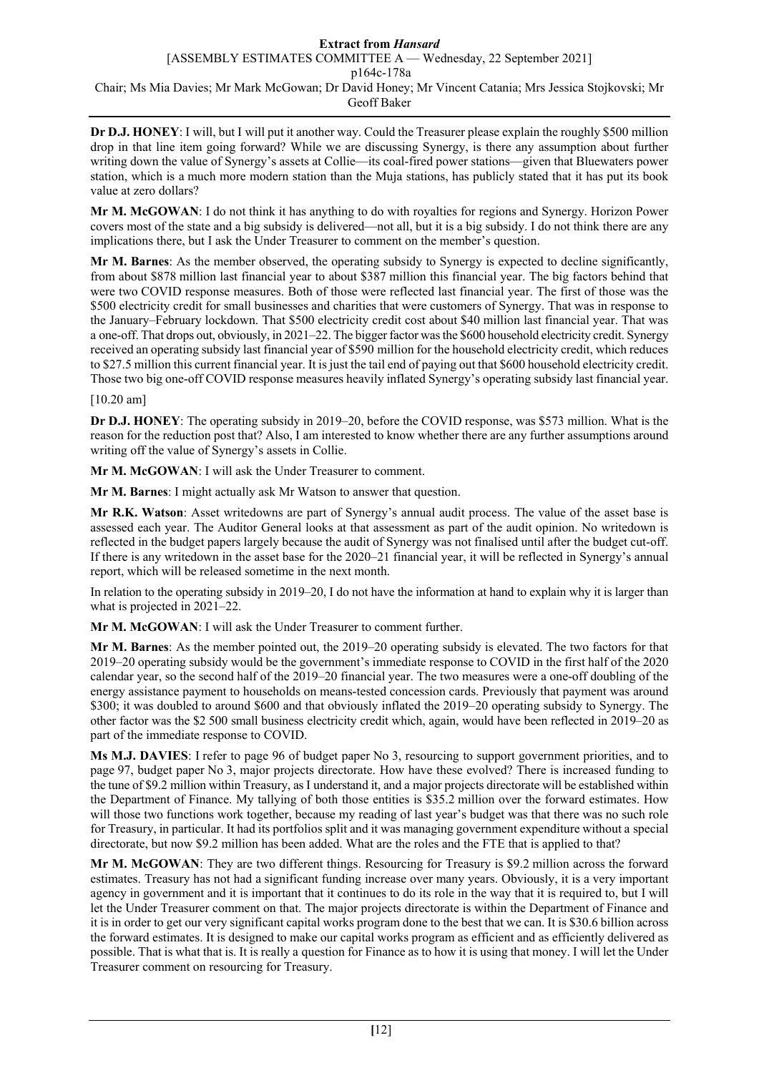**Dr D.J. HONEY**: I will, but I will put it another way. Could the Treasurer please explain the roughly \$500 million drop in that line item going forward? While we are discussing Synergy, is there any assumption about further writing down the value of Synergy's assets at Collie—its coal-fired power stations—given that Bluewaters power station, which is a much more modern station than the Muja stations, has publicly stated that it has put its book value at zero dollars?

**Mr M. McGOWAN**: I do not think it has anything to do with royalties for regions and Synergy. Horizon Power covers most of the state and a big subsidy is delivered—not all, but it is a big subsidy. I do not think there are any implications there, but I ask the Under Treasurer to comment on the member's question.

**Mr M. Barnes**: As the member observed, the operating subsidy to Synergy is expected to decline significantly, from about \$878 million last financial year to about \$387 million this financial year. The big factors behind that were two COVID response measures. Both of those were reflected last financial year. The first of those was the \$500 electricity credit for small businesses and charities that were customers of Synergy. That was in response to the January–February lockdown. That \$500 electricity credit cost about \$40 million last financial year. That was a one-off. That drops out, obviously, in 2021–22. The bigger factor was the \$600 household electricity credit. Synergy received an operating subsidy last financial year of \$590 million for the household electricity credit, which reduces to \$27.5 million this current financial year. It is just the tail end of paying out that \$600 household electricity credit. Those two big one-off COVID response measures heavily inflated Synergy's operating subsidy last financial year.

### [10.20 am]

**Dr D.J. HONEY**: The operating subsidy in 2019–20, before the COVID response, was \$573 million. What is the reason for the reduction post that? Also, I am interested to know whether there are any further assumptions around writing off the value of Synergy's assets in Collie.

**Mr M. McGOWAN**: I will ask the Under Treasurer to comment.

**Mr M. Barnes**: I might actually ask Mr Watson to answer that question.

**Mr R.K. Watson**: Asset writedowns are part of Synergy's annual audit process. The value of the asset base is assessed each year. The Auditor General looks at that assessment as part of the audit opinion. No writedown is reflected in the budget papers largely because the audit of Synergy was not finalised until after the budget cut-off. If there is any writedown in the asset base for the 2020–21 financial year, it will be reflected in Synergy's annual report, which will be released sometime in the next month.

In relation to the operating subsidy in 2019–20, I do not have the information at hand to explain why it is larger than what is projected in 2021–22.

**Mr M. McGOWAN**: I will ask the Under Treasurer to comment further.

**Mr M. Barnes**: As the member pointed out, the 2019–20 operating subsidy is elevated. The two factors for that 2019–20 operating subsidy would be the government's immediate response to COVID in the first half of the 2020 calendar year, so the second half of the 2019–20 financial year. The two measures were a one-off doubling of the energy assistance payment to households on means-tested concession cards. Previously that payment was around \$300; it was doubled to around \$600 and that obviously inflated the 2019–20 operating subsidy to Synergy. The other factor was the \$2 500 small business electricity credit which, again, would have been reflected in 2019–20 as part of the immediate response to COVID.

**Ms M.J. DAVIES**: I refer to page 96 of budget paper No 3, resourcing to support government priorities, and to page 97, budget paper No 3, major projects directorate. How have these evolved? There is increased funding to the tune of \$9.2 million within Treasury, as I understand it, and a major projects directorate will be established within the Department of Finance. My tallying of both those entities is \$35.2 million over the forward estimates. How will those two functions work together, because my reading of last year's budget was that there was no such role for Treasury, in particular. It had its portfolios split and it was managing government expenditure without a special directorate, but now \$9.2 million has been added. What are the roles and the FTE that is applied to that?

**Mr M. McGOWAN**: They are two different things. Resourcing for Treasury is \$9.2 million across the forward estimates. Treasury has not had a significant funding increase over many years. Obviously, it is a very important agency in government and it is important that it continues to do its role in the way that it is required to, but I will let the Under Treasurer comment on that. The major projects directorate is within the Department of Finance and it is in order to get our very significant capital works program done to the best that we can. It is \$30.6 billion across the forward estimates. It is designed to make our capital works program as efficient and as efficiently delivered as possible. That is what that is. It is really a question for Finance as to how it is using that money. I will let the Under Treasurer comment on resourcing for Treasury.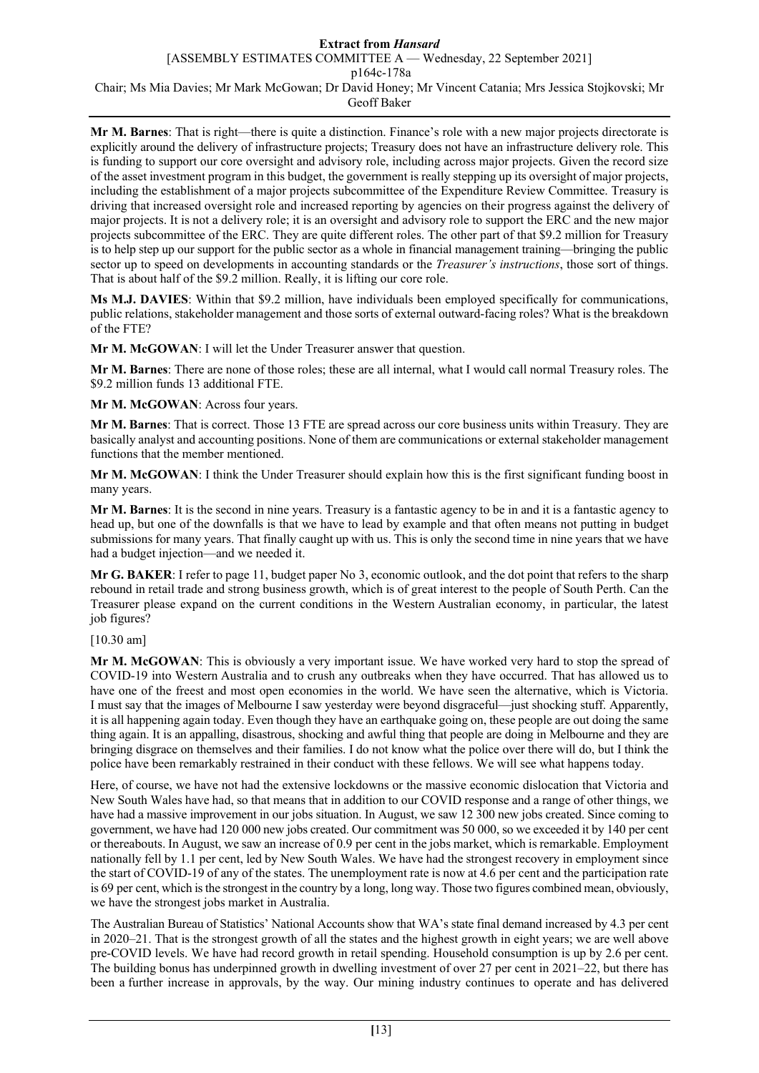**Mr M. Barnes**: That is right—there is quite a distinction. Finance's role with a new major projects directorate is explicitly around the delivery of infrastructure projects; Treasury does not have an infrastructure delivery role. This is funding to support our core oversight and advisory role, including across major projects. Given the record size of the asset investment program in this budget, the government is really stepping up its oversight of major projects, including the establishment of a major projects subcommittee of the Expenditure Review Committee. Treasury is driving that increased oversight role and increased reporting by agencies on their progress against the delivery of major projects. It is not a delivery role; it is an oversight and advisory role to support the ERC and the new major projects subcommittee of the ERC. They are quite different roles. The other part of that \$9.2 million for Treasury is to help step up our support for the public sector as a whole in financial management training—bringing the public sector up to speed on developments in accounting standards or the *Treasurer's instructions*, those sort of things. That is about half of the \$9.2 million. Really, it is lifting our core role.

**Ms M.J. DAVIES**: Within that \$9.2 million, have individuals been employed specifically for communications, public relations, stakeholder management and those sorts of external outward-facing roles? What is the breakdown of the FTE?

**Mr M. McGOWAN**: I will let the Under Treasurer answer that question.

**Mr M. Barnes**: There are none of those roles; these are all internal, what I would call normal Treasury roles. The \$9.2 million funds 13 additional FTE.

**Mr M. McGOWAN**: Across four years.

**Mr M. Barnes**: That is correct. Those 13 FTE are spread across our core business units within Treasury. They are basically analyst and accounting positions. None of them are communications or external stakeholder management functions that the member mentioned.

**Mr M. McGOWAN**: I think the Under Treasurer should explain how this is the first significant funding boost in many years.

**Mr M. Barnes**: It is the second in nine years. Treasury is a fantastic agency to be in and it is a fantastic agency to head up, but one of the downfalls is that we have to lead by example and that often means not putting in budget submissions for many years. That finally caught up with us. This is only the second time in nine years that we have had a budget injection—and we needed it.

**Mr G. BAKER**: I refer to page 11, budget paper No 3, economic outlook, and the dot point that refers to the sharp rebound in retail trade and strong business growth, which is of great interest to the people of South Perth. Can the Treasurer please expand on the current conditions in the Western Australian economy, in particular, the latest job figures?

[10.30 am]

**Mr M. McGOWAN**: This is obviously a very important issue. We have worked very hard to stop the spread of COVID-19 into Western Australia and to crush any outbreaks when they have occurred. That has allowed us to have one of the freest and most open economies in the world. We have seen the alternative, which is Victoria. I must say that the images of Melbourne I saw yesterday were beyond disgraceful—just shocking stuff. Apparently, it is all happening again today. Even though they have an earthquake going on, these people are out doing the same thing again. It is an appalling, disastrous, shocking and awful thing that people are doing in Melbourne and they are bringing disgrace on themselves and their families. I do not know what the police over there will do, but I think the police have been remarkably restrained in their conduct with these fellows. We will see what happens today.

Here, of course, we have not had the extensive lockdowns or the massive economic dislocation that Victoria and New South Wales have had, so that means that in addition to our COVID response and a range of other things, we have had a massive improvement in our jobs situation. In August, we saw 12 300 new jobs created. Since coming to government, we have had 120 000 new jobs created. Our commitment was 50 000, so we exceeded it by 140 per cent or thereabouts. In August, we saw an increase of 0.9 per cent in the jobs market, which is remarkable. Employment nationally fell by 1.1 per cent, led by New South Wales. We have had the strongest recovery in employment since the start of COVID-19 of any of the states. The unemployment rate is now at 4.6 per cent and the participation rate is 69 per cent, which is the strongest in the country by a long, long way. Those two figures combined mean, obviously, we have the strongest jobs market in Australia.

The Australian Bureau of Statistics' National Accounts show that WA's state final demand increased by 4.3 per cent in 2020–21. That is the strongest growth of all the states and the highest growth in eight years; we are well above pre-COVID levels. We have had record growth in retail spending. Household consumption is up by 2.6 per cent. The building bonus has underpinned growth in dwelling investment of over 27 per cent in 2021–22, but there has been a further increase in approvals, by the way. Our mining industry continues to operate and has delivered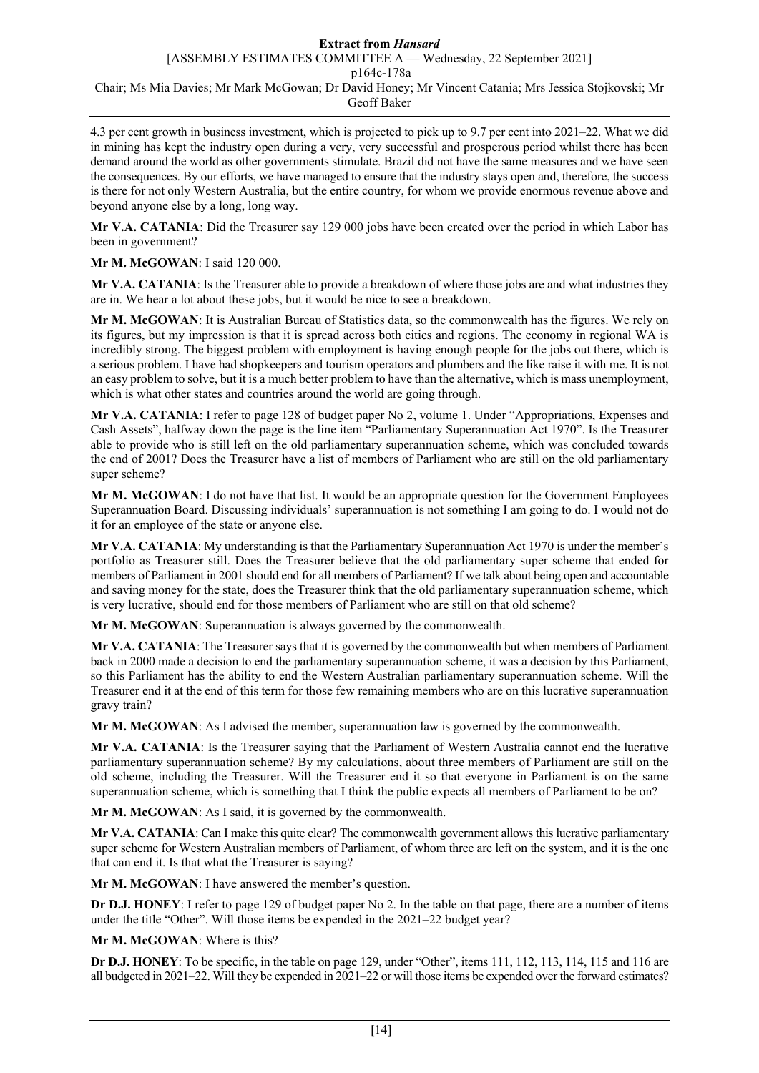4.3 per cent growth in business investment, which is projected to pick up to 9.7 per cent into 2021–22. What we did in mining has kept the industry open during a very, very successful and prosperous period whilst there has been demand around the world as other governments stimulate. Brazil did not have the same measures and we have seen the consequences. By our efforts, we have managed to ensure that the industry stays open and, therefore, the success is there for not only Western Australia, but the entire country, for whom we provide enormous revenue above and beyond anyone else by a long, long way.

**Mr V.A. CATANIA**: Did the Treasurer say 129 000 jobs have been created over the period in which Labor has been in government?

**Mr M. McGOWAN**: I said 120 000.

**Mr V.A. CATANIA**: Is the Treasurer able to provide a breakdown of where those jobs are and what industries they are in. We hear a lot about these jobs, but it would be nice to see a breakdown.

**Mr M. McGOWAN**: It is Australian Bureau of Statistics data, so the commonwealth has the figures. We rely on its figures, but my impression is that it is spread across both cities and regions. The economy in regional WA is incredibly strong. The biggest problem with employment is having enough people for the jobs out there, which is a serious problem. I have had shopkeepers and tourism operators and plumbers and the like raise it with me. It is not an easy problem to solve, but it is a much better problem to have than the alternative, which is mass unemployment, which is what other states and countries around the world are going through.

**Mr V.A. CATANIA**: I refer to page 128 of budget paper No 2, volume 1. Under "Appropriations, Expenses and Cash Assets", halfway down the page is the line item "Parliamentary Superannuation Act 1970". Is the Treasurer able to provide who is still left on the old parliamentary superannuation scheme, which was concluded towards the end of 2001? Does the Treasurer have a list of members of Parliament who are still on the old parliamentary super scheme?

**Mr M. McGOWAN**: I do not have that list. It would be an appropriate question for the Government Employees Superannuation Board. Discussing individuals' superannuation is not something I am going to do. I would not do it for an employee of the state or anyone else.

**Mr V.A. CATANIA**: My understanding is that the Parliamentary Superannuation Act 1970 is under the member's portfolio as Treasurer still. Does the Treasurer believe that the old parliamentary super scheme that ended for members of Parliament in 2001 should end for all members of Parliament? If we talk about being open and accountable and saving money for the state, does the Treasurer think that the old parliamentary superannuation scheme, which is very lucrative, should end for those members of Parliament who are still on that old scheme?

**Mr M. McGOWAN**: Superannuation is always governed by the commonwealth.

**Mr V.A. CATANIA**: The Treasurer says that it is governed by the commonwealth but when members of Parliament back in 2000 made a decision to end the parliamentary superannuation scheme, it was a decision by this Parliament, so this Parliament has the ability to end the Western Australian parliamentary superannuation scheme. Will the Treasurer end it at the end of this term for those few remaining members who are on this lucrative superannuation gravy train?

**Mr M. McGOWAN**: As I advised the member, superannuation law is governed by the commonwealth.

**Mr V.A. CATANIA**: Is the Treasurer saying that the Parliament of Western Australia cannot end the lucrative parliamentary superannuation scheme? By my calculations, about three members of Parliament are still on the old scheme, including the Treasurer. Will the Treasurer end it so that everyone in Parliament is on the same superannuation scheme, which is something that I think the public expects all members of Parliament to be on?

**Mr M. McGOWAN**: As I said, it is governed by the commonwealth.

**Mr V.A. CATANIA**: Can I make this quite clear? The commonwealth government allows this lucrative parliamentary super scheme for Western Australian members of Parliament, of whom three are left on the system, and it is the one that can end it. Is that what the Treasurer is saying?

**Mr M. McGOWAN**: I have answered the member's question.

**Dr D.J. HONEY**: I refer to page 129 of budget paper No 2. In the table on that page, there are a number of items under the title "Other". Will those items be expended in the 2021–22 budget year?

**Mr M. McGOWAN**: Where is this?

**Dr D.J. HONEY**: To be specific, in the table on page 129, under "Other", items 111, 112, 113, 114, 115 and 116 are all budgeted in 2021–22. Will they be expended in 2021–22 or will those items be expended over the forward estimates?